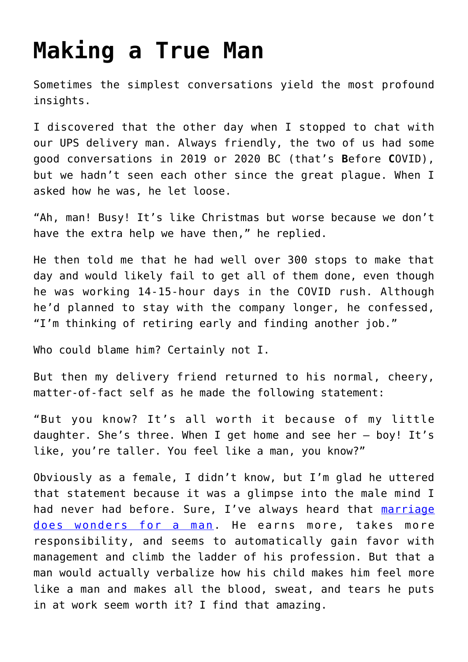## **[Making a True Man](https://intellectualtakeout.org/2020/08/making-a-true-man/)**

Sometimes the simplest conversations yield the most profound insights.

I discovered that the other day when I stopped to chat with our UPS delivery man. Always friendly, the two of us had some good conversations in 2019 or 2020 BC (that's **B**efore **C**OVID), but we hadn't seen each other since the great plague. When I asked how he was, he let loose.

"Ah, man! Busy! It's like Christmas but worse because we don't have the extra help we have then," he replied.

He then told me that he had well over 300 stops to make that day and would likely fail to get all of them done, even though he was working 14-15-hour days in the COVID rush. Although he'd planned to stay with the company longer, he confessed, "I'm thinking of retiring early and finding another job."

Who could blame him? Certainly not I.

But then my delivery friend returned to his normal, cheery, matter-of-fact self as he made the following statement:

"But you know? It's all worth it because of my little daughter. She's three. When I get home and see her – boy! It's like, you're taller. You feel like a man, you know?"

Obviously as a female, I didn't know, but I'm glad he uttered that statement because it was a glimpse into the male mind I had never had before. Sure, I've always heard that [marriage](https://www.sciencedaily.com/releases/2017/02/170207135943.htm#:~:text=But%20research%20shows%20there%20is,premium%22%20for%20men%20that%20includes%3A&text=A%20financial%20return%20that%20includes,peers%20with%20otherwise%20similar%20backgrounds.&text=Better%20sex%20lives%20compared%20to%20both%20single%20and%20cohabiting%20men.) [does wonders for a man](https://www.sciencedaily.com/releases/2017/02/170207135943.htm#:~:text=But%20research%20shows%20there%20is,premium%22%20for%20men%20that%20includes%3A&text=A%20financial%20return%20that%20includes,peers%20with%20otherwise%20similar%20backgrounds.&text=Better%20sex%20lives%20compared%20to%20both%20single%20and%20cohabiting%20men.). He earns more, takes more responsibility, and seems to automatically gain favor with management and climb the ladder of his profession. But that a man would actually verbalize how his child makes him feel more like a man and makes all the blood, sweat, and tears he puts in at work seem worth it? I find that amazing.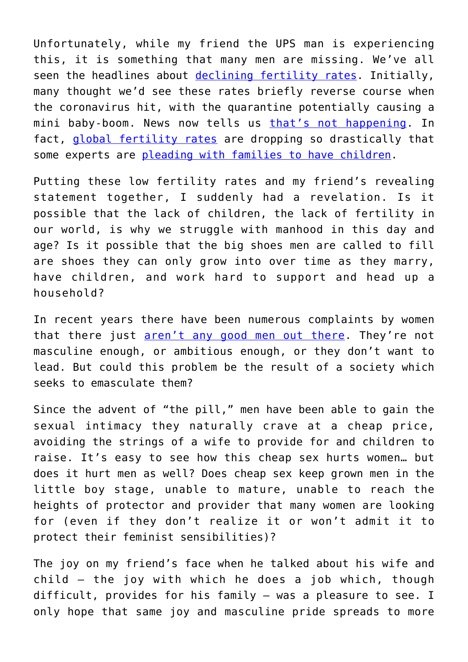Unfortunately, while my friend the UPS man is experiencing this, it is something that many men are missing. We've all seen the headlines about [declining fertility rates](https://www.nytimes.com/2019/05/17/us/us-birthrate-decrease.html). Initially, many thought we'd see these rates briefly reverse course when the coronavirus hit, with the quarantine potentially causing a mini baby-boom. News now tells us [that's not happening.](https://www.latimes.com/opinion/story/2020-08-14/coronavirus-pandemic-sex-birth-rate-population-demographics) In fact, [global fertility rates](https://www.forbes.com/sites/trevornace/2020/07/17/world-population-expected-to-peak-in-just-44-years-as-fertility-rates-sink/#322f20dc372a) are dropping so drastically that some experts are [pleading with families to have children.](https://www.intellectualtakeout.org/please-have-children-an-expert-researcher-warns/)

Putting these low fertility rates and my friend's revealing statement together, I suddenly had a revelation. Is it possible that the lack of children, the lack of fertility in our world, is why we struggle with manhood in this day and age? Is it possible that the big shoes men are called to fill are shoes they can only grow into over time as they marry, have children, and work hard to support and head up a household?

In recent years there have been numerous complaints by women that there just [aren't any good men out there](https://www.intellectualtakeout.org/blog/college-educated-women-cant-find-good-men/). They're not masculine enough, or ambitious enough, or they don't want to lead. But could this problem be the result of a society which seeks to emasculate them?

Since the advent of "the pill," men have been able to gain the sexual intimacy they naturally crave at a cheap price, avoiding the strings of a wife to provide for and children to raise. It's easy to see how this cheap sex hurts women… but does it hurt men as well? Does cheap sex keep grown men in the little boy stage, unable to mature, unable to reach the heights of protector and provider that many women are looking for (even if they don't realize it or won't admit it to protect their feminist sensibilities)?

The joy on my friend's face when he talked about his wife and child – the joy with which he does a job which, though difficult, provides for his family – was a pleasure to see. I only hope that same joy and masculine pride spreads to more